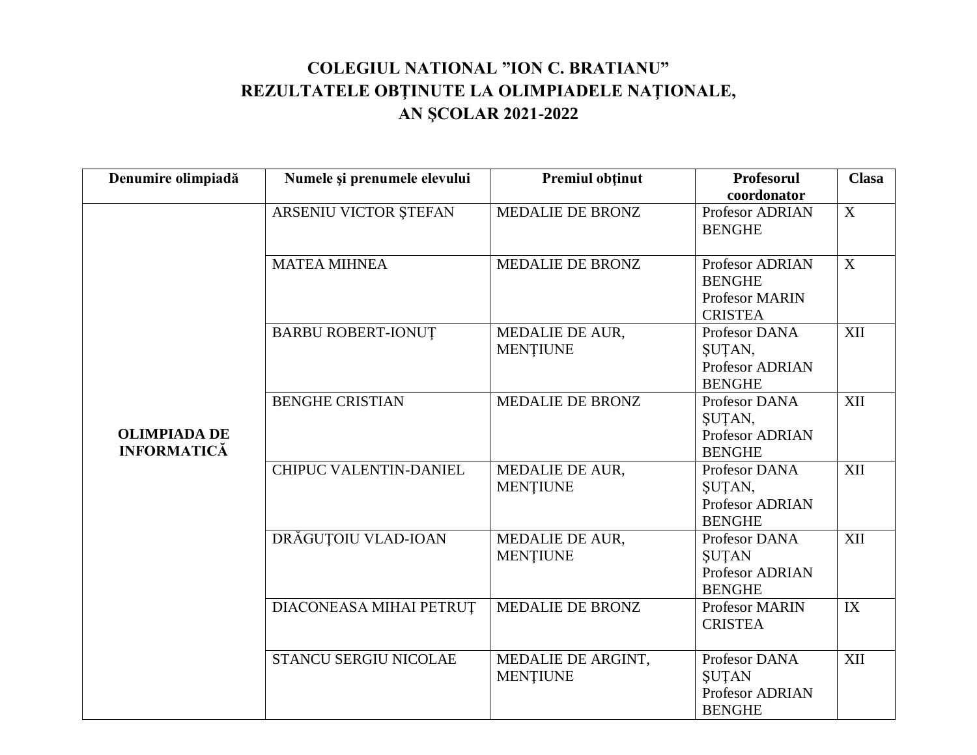## **COLEGIUL NATIONAL "ION C. BRATIANU" REZULTATELE OBŢINUTE LA OLIMPIADELE NAŢIONALE, AN ŞCOLAR 2021-2022**

| Denumire olimpiadă                        | Numele și prenumele elevului | <b>Premiul obtinut</b>                    | Profesorul<br>coordonator                                                   | <b>Clasa</b> |
|-------------------------------------------|------------------------------|-------------------------------------------|-----------------------------------------------------------------------------|--------------|
|                                           | ARSENIU VICTOR ȘTEFAN        | MEDALIE DE BRONZ                          | Profesor ADRIAN<br><b>BENGHE</b>                                            | X            |
|                                           | <b>MATEA MIHNEA</b>          | MEDALIE DE BRONZ                          | Profesor ADRIAN<br><b>BENGHE</b><br><b>Profesor MARIN</b><br><b>CRISTEA</b> | X            |
|                                           | <b>BARBU ROBERT-IONUT</b>    | MEDALIE DE AUR,<br><b>MENTIUNE</b>        | Profesor DANA<br>ŞUȚAN,<br>Profesor ADRIAN<br><b>BENGHE</b>                 | XII          |
| <b>OLIMPIADA DE</b><br><b>INFORMATICĂ</b> | <b>BENGHE CRISTIAN</b>       | MEDALIE DE BRONZ                          | Profesor DANA<br>ŞUTAN,<br>Profesor ADRIAN<br><b>BENGHE</b>                 | XII          |
|                                           | CHIPUC VALENTIN-DANIEL       | <b>MEDALIE DE AUR,</b><br><b>MENTIUNE</b> | Profesor DANA<br>SUTAN,<br>Profesor ADRIAN<br><b>BENGHE</b>                 | XII          |
|                                           | DRĂGUȚOIU VLAD-IOAN          | MEDALIE DE AUR,<br><b>MENTIUNE</b>        | Profesor DANA<br><b>SUTAN</b><br>Profesor ADRIAN<br><b>BENGHE</b>           | XII          |
|                                           | DIACONEASA MIHAI PETRUȚ      | MEDALIE DE BRONZ                          | Profesor MARIN<br><b>CRISTEA</b>                                            | IX           |
|                                           | STANCU SERGIU NICOLAE        | MEDALIE DE ARGINT,<br><b>MENȚIUNE</b>     | Profesor DANA<br><b>SUTAN</b><br>Profesor ADRIAN<br><b>BENGHE</b>           | XII          |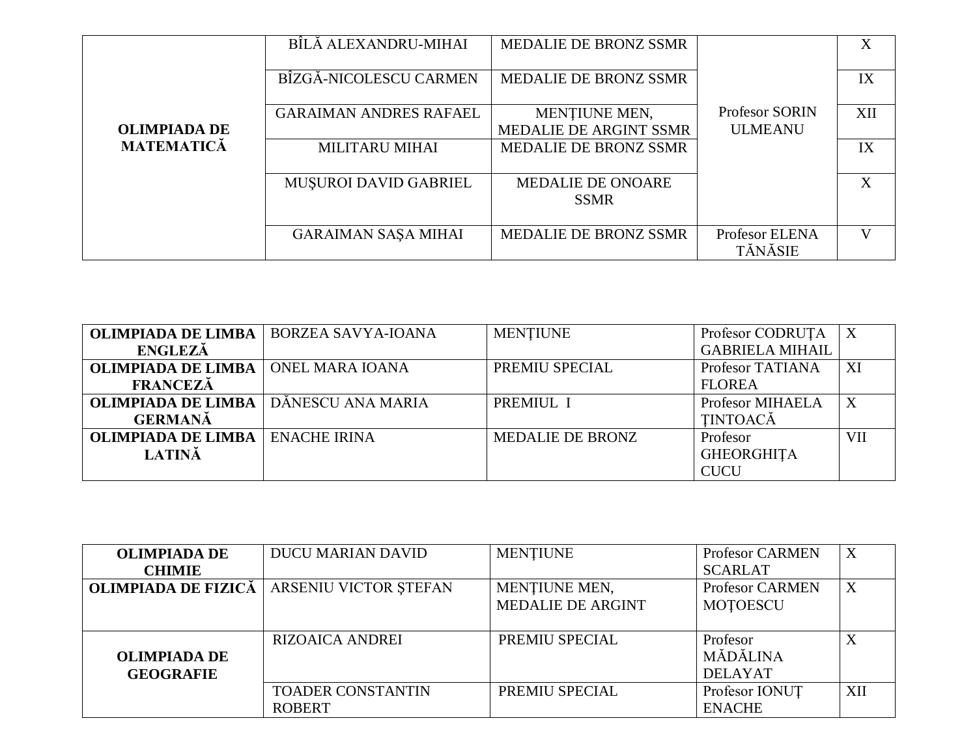|                     | BÎLĂ ALEXANDRU-MIHAI          | MEDALIE DE BRONZ SSMR                   |                                  | X                         |
|---------------------|-------------------------------|-----------------------------------------|----------------------------------|---------------------------|
|                     | BÎZGĂ-NICOLESCU CARMEN        | <b>MEDALIE DE BRONZ SSMR</b>            |                                  | IX                        |
|                     | <b>GARAIMAN ANDRES RAFAEL</b> | MENȚIUNE MEN,                           | <b>Profesor SORIN</b>            | XII                       |
| <b>OLIMPIADA DE</b> |                               | MEDALIE DE ARGINT SSMR                  | <b>ULMEANU</b>                   |                           |
| <b>MATEMATICĂ</b>   | <b>MILITARU MIHAI</b>         | <b>MEDALIE DE BRONZ SSMR</b>            |                                  | IX                        |
|                     | <b>MUŞUROI DAVID GABRIEL</b>  | <b>MEDALIE DE ONOARE</b><br><b>SSMR</b> |                                  | $\boldsymbol{\mathrm{X}}$ |
|                     | <b>GARAIMAN SAŞA MIHAI</b>    | <b>MEDALIE DE BRONZ SSMR</b>            | Profesor ELENA<br><b>TĂNĂSIE</b> | V                         |

| <b>OLIMPIADA DE LIMBA</b> | <b>BORZEA SAVYA-IOANA</b> | <b>MENTIUNE</b>         | Profesor CODRUTA       |     |
|---------------------------|---------------------------|-------------------------|------------------------|-----|
| <b>ENGLEZĂ</b>            |                           |                         | <b>GABRIELA MIHAIL</b> |     |
| <b>OLIMPIADA DE LIMBA</b> | ONEL MARA IOANA           | PREMIU SPECIAL          | Profesor TATIANA       | XI  |
| <b>FRANCEZĂ</b>           |                           |                         | <b>FLOREA</b>          |     |
| <b>OLIMPIADA DE LIMBA</b> | DĂNESCU ANA MARIA         | PREMIUL I               | Profesor MIHAELA       |     |
| <b>GERMANĂ</b>            |                           |                         | <b>TINTOACĂ</b>        |     |
| <b>OLIMPIADA DE LIMBA</b> | <b>ENACHE IRINA</b>       | <b>MEDALIE DE BRONZ</b> | Profesor               | VII |
| <b>LATINĂ</b>             |                           |                         | <b>GHEORGHITA</b>      |     |
|                           |                           |                         | <b>CUCU</b>            |     |

| <b>OLIMPIADA DE</b> | <b>DUCU MARIAN DAVID</b> | <b>MENTIUNE</b>          | <b>Profesor CARMEN</b> | X   |
|---------------------|--------------------------|--------------------------|------------------------|-----|
| <b>CHIMIE</b>       |                          |                          | <b>SCARLAT</b>         |     |
| OLIMPIADA DE FIZICĂ | ARSENIU VICTOR ȘTEFAN    | MENTIUNE MEN,            | <b>Profesor CARMEN</b> | X   |
|                     |                          | <b>MEDALIE DE ARGINT</b> | <b>MOTOESCU</b>        |     |
|                     |                          |                          |                        |     |
|                     | <b>RIZOAICA ANDREI</b>   | PREMIU SPECIAL           | Profesor               |     |
| <b>OLIMPIADA DE</b> |                          |                          | MĂDĂLINA               |     |
| <b>GEOGRAFIE</b>    |                          |                          | <b>DELAYAT</b>         |     |
|                     | <b>TOADER CONSTANTIN</b> | PREMIU SPECIAL           | Profesor IONUT         | XII |
|                     | <b>ROBERT</b>            |                          | <b>ENACHE</b>          |     |